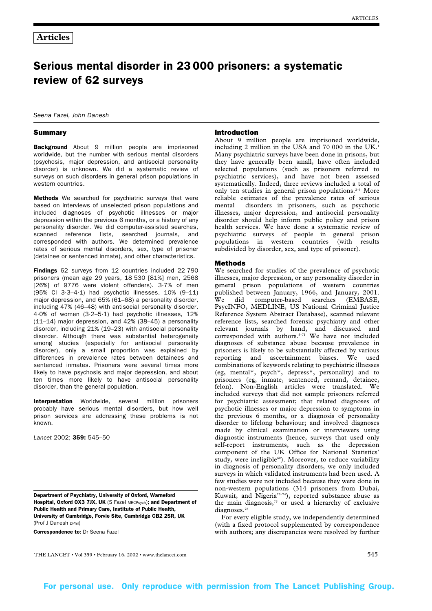# Serious mental disorder in 23 000 prisoners: a systematic review of 62 surveys

*Seena Fazel, John Danesh*

#### Summary

Background About 9 million people are imprisoned worldwide, but the number with serious mental disorders (psychosis, major depression, and antisocial personality disorder) is unknown. We did a systematic review of surveys on such disorders in general prison populations in western countries.

Methods We searched for psychiatric surveys that were based on interviews of unselected prison populations and included diagnoses of psychotic illnesses or major depression within the previous 6 months, or a history of any personality disorder. We did computer-assisted searches, scanned reference lists, searched journals, and corresponded with authors. We determined prevalence rates of serious mental disorders, sex, type of prisoner (detainee or sentenced inmate), and other characteristics.

Findings 62 surveys from 12 countries included 22 790 prisoners (mean age 29 years, 18 530 [81%] men, 2568 [26%] of 9776 were violent offenders). 3·7% of men (95% CI 3·3–4·1) had psychotic illnesses, 10% (9–11) major depression, and 65% (61–68) a personality disorder, including 47% (46–48) with antisocial personality disorder. 4·0% of women (3·2–5·1) had psychotic illnesses, 12% (11–14) major depression, and 42% (38–45) a personality disorder, including 21% (19–23) with antisocial personality disorder. Although there was substantial heterogeneity among studies (especially for antisocial personality disorder), only a small proportion was explained by differences in prevalence rates between detainees and sentenced inmates. Prisoners were several times more likely to have psychosis and major depression, and about ten times more likely to have antisocial personality disorder, than the general population.

Interpretation Worldwide, several million prisoners probably have serious mental disorders, but how well prison services are addressing these problems is not known.

*Lancet* 2002; 359: 545–50

Correspondence to: Dr Seena Fazel

Introduction

Many psychiatric surveys have been done in prisons, but they have generally been small, have often included selected populations (such as prisoners referred to psychiatric services), and have not been assessed systematically. Indeed, three reviews included a total of only ten studies in general prison populations.<sup>2-4</sup> More reliable estimates of the prevalence rates of serious disorders in prisoners, such as psychotic illnesses, major depression, and antisocial personality disorder should help inform public policy and prison health services. We have done a systematic review of psychiatric surveys of people in general prison populations in western countries (with results subdivided by disorder, sex, and type of prisoner).

About 9 million people are imprisoned worldwide, including 2 million in the USA and 70 000 in the UK.<sup>1</sup>

#### Methods

We searched for studies of the prevalence of psychotic illnesses, major depression, or any personality disorder in general prison populations of western countries published between January, 1966, and January, 2001. We did computer-based searches (EMBASE, PsycINFO, MEDLINE, US National Criminal Justice Reference System Abstract Database), scanned relevant reference lists, searched forensic psychiatry and other relevant journals by hand, and discussed and corresponded with authors.<sup>5-71</sup> We have not included diagnoses of substance abuse because prevalence in prisoners is likely to be substantially affected by various reporting and ascertainment biases. We used combinations of keywords relating to psychiatric illnesses (eg, mental\*, psych\*, depress\*, personality) and to prisoners (eg, inmate, sentenced, remand, detainee, felon). Non-English articles were translated. We included surveys that did not sample prisoners referred for psychiatric assessment; that related diagnoses of psychotic illnesses or major depression to symptoms in the previous 6 months, or a diagnosis of personality disorder to lifelong behaviour; and involved diagnoses made by clinical examination or interviewers using diagnostic instruments (hence, surveys that used only self-report instruments, such as the depression component of the UK Office for National Statistics' study, were ineligible<sup>60</sup>). Moreover, to reduce variability in diagnosis of personality disorders, we only included surveys in which validated instruments had been used. A few studies were not included because they were done in non-western populations (314 prisoners from Dubai, Kuwait, and Nigeria<sup>72-74</sup>), reported substance abuse as the main diagnosis,75 or used a hierarchy of exclusive diagnoses.76

For every eligible study, we independently determined (with a fixed protocol supplemented by correspondence with authors; any discrepancies were resolved by further

Department of Psychiatry, University of Oxford, Warneford Hospital, Oxford OX3 7JX, UK (S Fazel MRCPsych); and Department of Public Health and Primary Care, Institute of Public Health, University of Cambridge, Forvie Site, Cambridge CB2 2SR, UK (Prof J Danesh DPhil)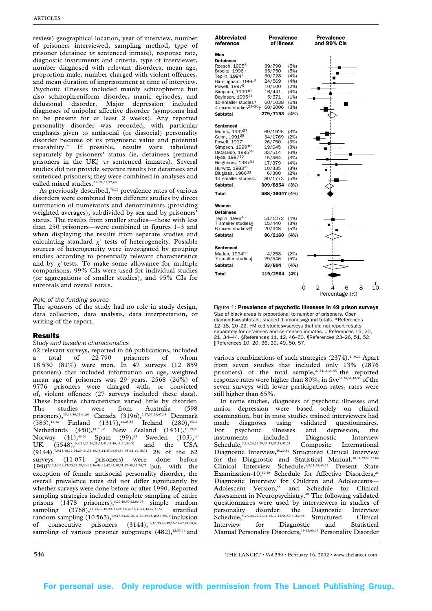review) geographical location, year of interview, number of prisoners interviewed, sampling method, type of prisoner (detainee *vs* sentenced inmate), response rate, diagnostic instruments and criteria, type of interviewer, number diagnosed with relevant disorders, mean age, proportion male, number charged with violent offences, and mean duration of imprisonment at time of interview. Psychotic illnesses included mainly schizophrenia but also schizophreniform disorder, manic episodes, and delusional disorder. Major depression included diagnoses of unipolar affective disorder (symptoms had to be present for at least 2 weeks). Any reported personality disorder was recorded, with particular emphasis given to antisocial (or dissocial) personality disorder because of its prognostic value and potential treatability.77 If possible, results were tabulated separately by prisoners' status (ie, detainees [remand prisoners in the UK] *vs* sentenced inmates). Several studies did not provide separate results for detainees and sentenced prisoners; they were combined in analyses and called mixed studies.<sup>23-26,51,52,69</sup>

As previously described,78,79 prevalence rates of various disorders were combined from different studies by direct summation of numerators and denominators (providing weighted averages), subdivided by sex and by prisoners' status. The results from smaller studies—those with less than 250 prisoners—were combined in figures 1–3 and when displaying the results from separate studies and calculating standard  $x^2$  tests of heterogeneity. Possible sources of heterogeneity were investigated by grouping studies according to potentially relevant characteristics and by  $\chi^2$  tests. To make some allowance for multiple comparisons, 99% CIs were used for individual studies (or aggregations of smaller studies), and 95% CIs for subtotals and overall totals.

### *Role of the funding source*

The sponsors of the study had no role in study design, data collection, data analysis, data interpretation, or writing of the report.

## Results

### *Study and baseline characteristics*

62 relevant surveys, reported in 66 publications, included a total of 22 790 prisoners of whom 18 530 (81%) were men. In 47 surveys (12 859 prisoners) that included information on age, weighted mean age of prisoners was 29 years. 2568 (26%) of 9776 prisoners were charged with, or convicted of, violent offences (27 surveys included these data). These baseline characteristics varied little by disorder. The studies were from Australia (598 prisoners),<sup>18,39,50,52,61,69</sup> Canada (3196),<sup>5,27,37,59,67,68</sup> Denmark  $(583),^{12,32}$  Finland  $(1317),^{23,25,55}$  Ireland  $(280),^{15,49}$ Netherlands  $(450),^{14,21,35}$  New Zealand  $(1431),^{10,19,20}$ Norway (41),<sup>43,66</sup> Spain (99),<sup>65</sup> Sweden (103),<sup>40</sup> UK  $(5548)$ ,<sup>6,8,11,22,26,28,33,41,42,46,47,51,53,60</sup> and the USA (9144).7,9,13,16,17,24,29–31,34,36,38,44,45,48,54,56–58,62–64,70,71 28 of the 62 surveys (11 071 prisoners) were done before 19907,13,16–18,23-25,27,28,30-33,36-39,41,42,44,50,51,57-59,62,70,71 but, with the exception of female antisocial personality disorder, the overall prevalence rates did not differ significantly by whether surveys were done before or after 1990. Reported sampling strategies included complete sampling of entire prisons (1478 prisoners),8,29,40,50,52,66,67 simple random sampling  $(3768)$ ,<sup>11,15,17,18,20–23,25,33,34,36,37,41,44,47,51,54</sup> stratified random sampling (10 563),<sup>7,9,13,24,27,28,31,38,39,45,46,53,60,70</sup> inclusion<br>of consecutive prisoners (3144).<sup>14,16,35,42,49,56-59,62,64,68,69</sup> of consecutive prisoners sampling of various prisoner subgroups  $(482),^{12,55,61}$  and

| <b>Abbreviated</b><br>reference                                                                                                                                                                                                                                                                                 | <b>Prevalence</b><br>of illness                                                                                                  |                                                                                      | <b>Prevalence</b><br>and 99% Cls |
|-----------------------------------------------------------------------------------------------------------------------------------------------------------------------------------------------------------------------------------------------------------------------------------------------------------------|----------------------------------------------------------------------------------------------------------------------------------|--------------------------------------------------------------------------------------|----------------------------------|
| Men<br><b>Detainees</b><br>Roesch, 1995 <sup>5</sup><br>Brooke, 1996 <sup>6</sup><br>Teplin, 19947<br>Birmingham, 1996 <sup>8</sup><br>Powell, 1997 <sup>9</sup><br>Simpson, 1999 <sup>10</sup><br>Davidson, 1995 <sup>11</sup><br>10 smaller studies*<br>4 mixed studies <sup>23-26</sup> t<br><b>Subtotal</b> | 39/790<br>35/750<br>30/728<br>24/569<br>10/500<br>16/441<br>5/371<br>60/1038<br>60/2006<br>279/7193                              | (5%)<br>(5%)<br>(4%)<br>(4%)<br>(2%)<br>(4%)<br>(1%)<br>(6%)<br>(3%)<br>(4%)         |                                  |
| <b>Sentenced</b><br>Motiuk, 1992 <sup>27</sup><br>Gunn, 1991 <sup>28</sup><br>Powell, 19979<br>Simpson, 199910<br>DiCataldo, 199529<br>Hyde, 198730<br>Neighbors, 1987 <sup>31</sup><br>Hurwitz, 1983 <sup>32</sup><br>Bluglass, 196633<br>14 smaller studies‡<br><b>Subtotal</b><br>Total                      | 69/1925<br>34/1769<br>26/750<br>19/645<br>33/514<br>15/464<br>17/379<br>10/335<br>6/300<br>80/1773<br>309/8854<br>588/16047 (4%) | (3%)<br>(2%)<br>(3%)<br>(3%)<br>(6%)<br>(3%)<br>(4%)<br>(3%)<br>(2%)<br>(5%)<br>(3%) |                                  |
| Women<br><b>Detainees</b><br>Teplin, 1996 <sup>45</sup><br>7 smaller studies<br>6 mixed studies+1<br><b>Subtotal</b><br>Sentenced                                                                                                                                                                               | 51/1272<br>15/440<br>20/448<br>86/2160                                                                                           | (4%)<br>(3%)<br>(5%)<br>(4%)                                                         |                                  |
| Maden, 1994 <sup>53</sup><br>7 smaller studies<br><b>Subtotal</b><br>Total                                                                                                                                                                                                                                      | 4/258<br>29/546<br>33/804<br>119/2964                                                                                            | (2%)<br>(5%)<br>(4%)<br>(4%)                                                         | 0<br>2<br>10<br>6<br>8<br>4      |
|                                                                                                                                                                                                                                                                                                                 |                                                                                                                                  |                                                                                      | Percentage (%)                   |

Figure 1: Prevalence of psychotic illnesses in 49 prison surveys Size of black areas is proportional to number of prisoners. Open diamonds=subtotals; shaded diamonds=grand totals. \*References 12–18, 20–22. †Mixed studies=surveys that did not report results separately for detainees and sentenced inmates. ‡ References 15, 20, 21, 34–44. §References 11, 12, 46–50. ¶References 23–26, 51, 52. ||References 10, 20, 36, 39, 49, 50, 57.

various combinations of such strategies  $(2374)$ .<sup>5,10,26</sup> Apart from seven studies that included only 13% (2876 prisoners) of the total sample,<sup>27,34,36,40,55</sup> the reported response rates were higher than  $80\%$ ; in five<sup>27,34,36,40,55</sup> of the seven surveys with lower participation rates, rates were still higher than 65%.

In some studies, diagnoses of psychotic illnesses and major depression were based solely on clinical examination, but in most studies trained interviewers had made diagnoses using validated questionnaires. For psychotic illnesses and depression, the instruments included: Diagnostic Interview instruments included: Diagnostic Interview Schedule, 5,7,9,24,27,29,34,35,37,45,57,62 Composite International Diagnostic Interview,<sup>10,20,56</sup> Structured Clinical Interview for the Diagnostic and Statistical Manual, 30,31,39,50,52,66 Clinical Interview Schedule, 6,8,11,28,46,53 Present State Examination-10,<sup>12,60</sup> Schedule for Affective Disorders,<sup>26</sup> Diagnostic Interview for Children and Adolescents— Adolescent Version,<sup>55</sup> and Schedule for Clinical Assessment in Neuropsychiatry.49 The following validated questionnaires were used by interviewers in studies of personality disorder: the Diagnostic Interview **Schedule**, 5,7,9,24,27,31,34,35,37,45,56-59,61,62,65 Structured Clinical Interview for Diagnostic and Statistical Manual Personality Disorders,<sup>19,43,60,69</sup> Personality Disorder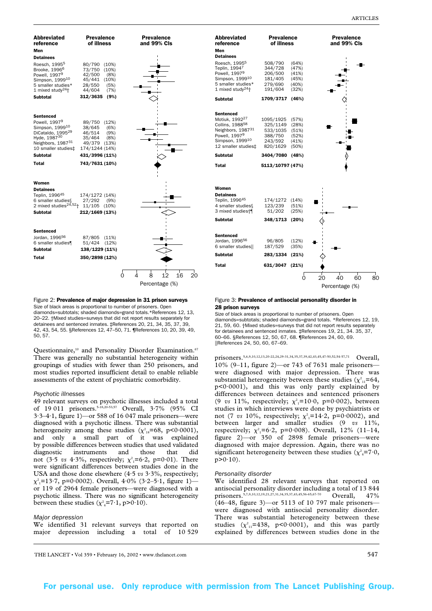

Figure 2: Prevalence of major depression in 31 prison surveys Size of black areas is proportional to number of prisoners. Open diamonds=subtotals; shaded diamonds=grand totals.\*References 12, 13, 20–22. †Mixed studies=surveys that did not report results separately for detainees and sentenced inmates. ‡References 20, 21, 34, 35, 37, 39, 42, 43, 54, 55. §References 12, 47–50, 71. ¶References 10, 20, 39, 49, 50, 57.

Questionnaire,<sup>10</sup> and Personality Disorder Examination.<sup>67</sup> There was generally no substantial heterogeneity within groupings of studies with fewer than 250 prisoners, and most studies reported insufficient detail to enable reliable assessments of the extent of psychiatric comorbidity.

#### *Psychotic illnesses*

49 relevant surveys on psychotic illnesses included a total of 19 011 prisoners.<sup>5-18,20-53,57</sup> Overall, 3.7% (95% CI  $3.3-4.1$ , figure 1)—or 588 of 16 047 male prisoners—were diagnosed with a psychotic illness. There was substantial heterogeneity among these studies  $(\chi^2_{18}=68, \text{ p}<0.0001)$ , and only a small part of it was explained by possible differences between studies that used validated diagnostic instruments and those that did not (3.5 *vs* 4.3%, respectively;  $\chi^2$ <sub>1</sub>=6.2, p=0.01). There were significant differences between studies done in the USA and those done elsewhere (4·5 *vs* 3·3%, respectively;  $\chi^2$ <sub>1</sub>=13·7, p=0·0002). Overall, 4·0% (3·2–5·1, figure 1) or 119 of 2964 female prisoners—were diagnosed with a psychotic illness. There was no significant heterogeneity between these studies  $(\chi^2_{4} = 7.1, p > 0.10)$ .

#### *Major depression*

We identified 31 relevant surveys that reported on major depression including a total of 10 529



#### Figure 3: Prevalence of antisocial personality disorder in 28 prison surveys

Size of black areas is proportional to number of prisoners. Open diamonds=subtotals; shaded diamonds=grand totals. \*References 12, 19, 21, 59, 60. †Mixed studies=surveys that did not report results separately for detainees and sentenced inmates. ‡References 19, 21, 34. 35, 37, 60–66. §References 12, 50, 67, 68. ¶References 24, 60, 69. ||References 24, 50, 60, 67–69.

prisoners.<sup>5,6,9,10,12,13,20-22,24,29-31,34,35,37,39,42,43,45,47-50,52,54-57,71</sup> Overall, 10% (9–11, figure 2)—or 743 of 7631 male prisoners were diagnosed with major depression. There was substantial heterogeneity between these studies  $(\chi^2_{11}=64,$ p<0·0001), and this was only partly explained by differences between detainees and sentenced prisoners (9 *vs* 11%, respectively;  $\chi^2$ <sub>1</sub>=10.0, p=0.002), between studies in which interviews were done by psychiatrists or not (7 *vs* 10%, respectively;  $\chi^2$ <sub>1</sub>=14·2, p=0·0002), and between larger and smaller studies (9 *vs* 11%, respectively;  $\chi^2$ <sub>1</sub>=6.2, p=0.008). Overall, 12% (11–14, figure 2)—or 350 of 2898 female prisoners—were diagnosed with major depression. Again, there was no significant heterogeneity between these studies  $(\chi^2_{\mu} = 7.0,$  $p > 0.10$ .

#### *Personality disorder*

We identified 28 relevant surveys that reported on antisocial personality disorder including a total of 13 844 prisoners.<sup>5,7,9,10,12,19,21,27,31,34,35,37,43,45,56-65,67-70</sup> Overall, 47% (46–48, figure 3)—or 5113 of 10 797 male prisoners were diagnosed with antisocial personality disorder. There was substantial heterogeneity between these studies  $(\chi^2_{11}=438, p<0.0001)$ , and this was partly explained by differences between studies done in the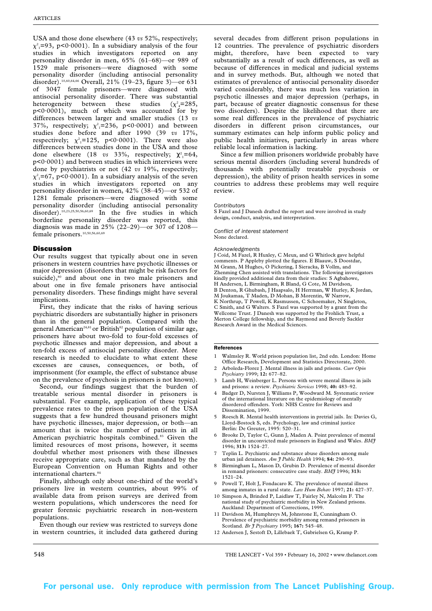USA and those done elsewhere (43 *vs* 52%, respectively;  $\chi^2$ <sub>1</sub>=93, p<0·0001). In a subsidiary analysis of the four studies in which investigators reported on any personality disorder in men, 65% (61–68)—or 989 of 1529 male prisoners—were diagnosed with some personality disorder (including antisocial personality disorder).10,60,64,66 Overall, 21% (19–23, figure 3)—or 631 of 3047 female prisoners—were diagnosed with antisocial personality disorder. There was substantial heterogeneity between these studies  $(\chi^2_{4} = 285,$ p<0·0001), much of which was accounted for by differences between larger and smaller studies (13 *vs* 37%, respectively;  $\chi^2$ <sub>1</sub>=236, p<0.0001) and between studies done before and after 1990 (39 *vs* 17%, respectively;  $\chi^2$ <sub>1</sub>=125, p<0.0001). There were also differences between studies done in the USA and those done elsewhere  $(18 \text{ vs } 33\%, \text{ respectively}; \chi^2_{1} = 64,$  $p<0.0001$  and between studies in which interviews were done by psychiatrists or not (42 *vs* 19%, respectively;  $\chi^2$ <sub>1</sub>=67, p<0·0001). In a subsidiary analysis of the seven studies in which investigators reported on any personality disorder in women, 42% (38–45)—or 532 of 1281 female prisoners—were diagnosed with some personality disorder (including antisocial personality disorder).10,23,25,50,56,60,69 In the five studies in which borderline personality disorder was reported, this diagnosis was made in 25% (22–29)—or 307 of 1208 female prisoners.10,50,56,60,69

# **Discussion**

Our results suggest that typically about one in seven prisoners in western countries have psychotic illnesses or major depression (disorders that might be risk factors for suicide),<sup>80</sup> and about one in two male prisoners and about one in five female prisoners have antisocial personality disorders. These findings might have several implications.

First, they indicate that the risks of having serious psychiatric disorders are substantially higher in prisoners than in the general population. Compared with the general American<sup>24,81</sup> or British<sup>82</sup> population of similar age, prisoners have about two-fold to four-fold excesses of psychotic illnesses and major depression, and about a ten-fold excess of antisocial personality disorder. More research is needed to elucidate to what extent these excesses are causes, consequences, or both, of imprisonment (for example, the effect of substance abuse on the prevalence of psychosis in prisoners is not known).

Second, our findings suggest that the burden of treatable serious mental disorder in prisoners is substantial. For example, application of these typical prevalence rates to the prison population of the USA suggests that a few hundred thousand prisoners might have psychotic illnesses, major depression, or both—an amount that is twice the number of patients in all American psychiatric hospitals combined.<sup>83</sup> Given the limited resources of most prisons, however, it seems doubtful whether most prisoners with these illnesses receive appropriate care, such as that mandated by the European Convention on Human Rights and other international charters.<sup>84</sup>

Finally, although only about one-third of the world's prisoners live in western countries, about 99% of available data from prison surveys are derived from western populations, which underscores the need for greater forensic psychiatric research in non-western populations.

Even though our review was restricted to surveys done in western countries, it included data gathered during several decades from different prison populations in 12 countries. The prevalence of psychiatric disorders might, therefore, have been expected to vary substantially as a result of such differences, as well as because of differences in medical and judicial systems and in survey methods. But, although we noted that estimates of prevalence of antisocial personality disorder varied considerably, there was much less variation in psychotic illnesses and major depression (perhaps, in part, because of greater diagnostic consensus for these two disorders). Despite the likelihood that there are some real differences in the prevalence of psychiatric disorders in different prison circumstances, our summary estimates can help inform public policy and public health initiatives, particularly in areas where reliable local information is lacking.

Since a few million prisoners worldwide probably have serious mental disorders (including several hundreds of thousands with potentially treatable psychosis or depression), the ability of prison health services in some countries to address these problems may well require review.

#### *Contributors*

S Fazel and J Danesh drafted the report and were involved in study design, conduct, analysis, and interpretation.

*Conflict of interest statement* None declared.

#### *Acknowledgments*

J Coid, M Fazel, R Huxley, C Meux, and G Whitlock gave helpful comments. P Appleby plotted the figures. E Blaauw, S Doostdar, M Grann, M Hughes, O Pickering, I Sieracka, B Vollm, and Zhenming Chen assisted with translations. The following investigators kindly provided additional data from their studies: S Agbahowe, H Andersen, L Birmingham, R Bland, G Cote, M Davidson, B Denton, R Ghubash, J Haapsalo, H Herrman, W Hurley, K Jordan, M Joukamaa, T Maden, D Mohan, B Morentin, W Narrow, K Northrup, T Powell, K Rasmussen, C Schoemaker, N Singleton, C Smith, and G Walters. S Fazel was supported by a grant from the Wellcome Trust. J Danesh was supported by the Frohlich Trust, a Merton College fellowship, and the Raymond and Beverly Sackler Research Award in the Medical Sciences.

#### References

- 1 Walmsley R. World prison population list, 2nd edn. London: Home Office Research, Development and Statistics Directorate, 2000.
- 2 Arboleda-Florez J. Mental illness in jails and prisons. *Curr Opin Psychiatry* 1999; **12:** 677–82.
- 3 Lamb H, Weinberger L. Persons with severe mental illness in jails and prisons: a review. *Psychiatric Services* 1998; **40:** 483–92.
- 4 Badger D, Nursten J, Williams P, Woodward M. Systematic review of the international literature on the epidemiology of mentally disordered offenders. York: NHS Centre for Reviews and Dissemination, 1999.
- 5 Roesch R. Mental health interventions in pretrial jails. In: Davies G, Lloyd-Bostock S, eds. Psychology, law and criminal justice Berlin: De Greuter, 1995: 520–31.
- 6 Brooke D, Taylor C, Gunn J, Maden A. Point prevalence of mental disorder in unconvicted male prisoners in England and Wales. *BMJ* 1996; **313:** 1524–27.
- 7 Teplin L. Psychiatric and substance abuse disorders among male urban jail detainees. *Am J Public Health* 1994; **84:** 290–93.
- 8 Birmingham L, Mason D, Grubin D. Prevalence of mental disorder in remand prisoners: consecutive case study. *BMJ* 1996; **313:** 1521–24.
- Powell T, Holt J, Fondacaro K. The prevalence of mental illness among inmates in a rural state. *Law Hum Behav* 1997; **21:** 427–37.
- 10 Simpson A, Brinded P, Laidlaw T, Fairley N, Malcolm F. The national study of psychiatric morbidity in New Zealand prisons. Auckland: Department of Corrections, 1999.
- 11 Davidson M, Humphreys M, Johnstone E, Cunningham O. Prevalence of psychiatric morbidity among remand prisoners in Scotland. *Br J Psychiatry* 1995; **167:** 545–48.
- 12 Andersen J, Sestoft D, Lillebaek T, Gabrielsen G, Kramp P.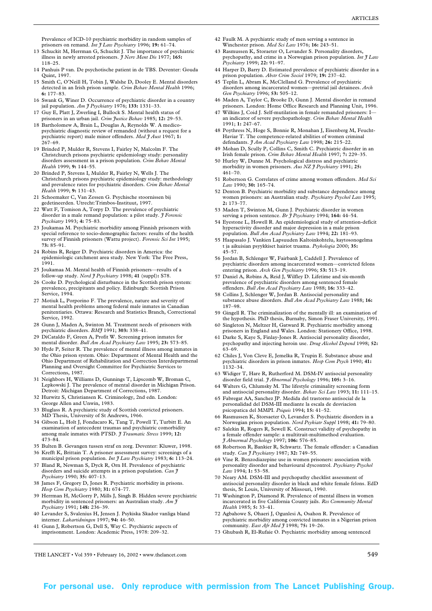- 13 Schuckit M, Herrman G, Schuckit J. The importance of psychiatric illness in newly arrested prisoners. *J Nerv Ment Dis* 1977; **165:** 118–25.
- 14 Panhuis P van. De psychotische patient in de TBS. Deventer: Gouda Quint, 1997.
- 15 Smith C, O'Neill H, Tobin J, Walshe D, Dooley E. Mental disorders detected in an Irish prison sample. *Crim Behav Mental Health* 1996; **6:** 177–83.
- 16 Swank G, Winer D. Occurrence of psychiatric disorder in a country jail population. *Am J Psychiatry* 1976; **133:** 1331–33.
- 17 Guy E, Platt J, Zwerling I, Bullock S. Mental health status of prisoners in an urban jail. *Crim Justice Behav* 1985; **12:** 29–53.
- 18 Bartholomew A, Brain L, Douglas A, Reynolds W. A medicopsychiatric diagnostic review of remanded (without a request for a psychiatric report) male minor offenders. *Med J Aust* 1967; **1:** 267–69.
- 19 Brinded P, Mulder R, Stevens I, Fairley N, Malcolm F. The Christchurch prisons psychiatric epidemiology study: personality disorders assessment in a prison population. *Crim Behav Mental Health* 1999; **9:** 144–55.
- 20 Brinded P, Stevens I, Mulder R, Fairley N, Wells J. The Christchurch prisons psychiatric epidemiology study: methodology and prevalence rates for psychiatric disorders. *Crim Behav Mental Health* 1999; **9:** 131–43.
- 21 Schoemaker C, Van Zessen G. Psychische stoornissen bij gedetineerden. Utrecht:Trimbos-Instituut, 1997.
- 22 Watt F, Tomison A, Torpy D. The prevalence of psychiatric disorder in a male remand population: a pilot study. *J Forensic Psychiatry* 1993; **4:** 75–83.
- 23 Joukamaa M. Psychiatric morbidity among Finnish prisoners with special reference to socio-demographic factors: results of the health survey of Finnish prisoners (Wattu project). *Forensic Sci Int* 1995; **73:** 85–91.
- 24 Robins R, Reiger D. Psychiatric disorders in America: the epidemiologic catchment area study. New York: The Free Press, 1991.
- 25 Joukamaa M. Mental health of Finnish prisoners—results of a follow-up study. *Nord J Psychiatry* 1998; **41** (suppl)**:** S78.
- 26 Cooke D. Psychological disturbance in the Scottish prison system: prevalence, precipitants and policy. Edinburgh: Scottish Prison Service, 1994.
- 27 Motiuk L, Porporino F. The prevalence, nature and severity of mental health problems among federal male inmates in Canadian penitentiaries. Ottawa: Research and Statistics Branch, Correctional Service, 1992.
- 28 Gunn J, Maden A, Swinton M. Treatment needs of prisoners with psychiatric disorders. *BMJ* 1991; **303:** 338–41.
- 29 DiCataldo F, Green A, Profit W. Screening prison inmates for mental disorder. *Bull Am Acad Psychiatry Law* 1995; **23:** 573–85.
- 30 Hyde P, Seiter R. The prevalence of mental illness among inmates in the Ohio prison system. Ohio: Department of Mental Health and the Ohio Department of Rehabilitation and Correction Interdepartmenal Planning and Oversight Committee for Psychiatric Services to Corrections, 1987.
- 31 Neighbors H, Williams D, Gunnings T, Lipscomb W, Broman C, Lepkowski J. The prevalence of mental disorder in Michigan Prison*.* Detroit: Michigan Department of Corrections, 1987.
- 32 Hurwitz S, Christiansen K. Criminology, 2nd edn. London: George Allen and Unwin, 1983.
- 33 Bluglass R. A psychiatric study of Scottish convicted prisoners. MD Thesis, University of St Andrews, 1966.
- 34 Gibson L, Holt J, Fondacaro K, Tang T, Powell T, Turbitt E. An examination of antecedent traumas and psychiatric comorbidity among male inmates with PTSD. *J Traumatic Stress* 1999; **12:** 473–84.
- 35 Bulten B. Gevangen tussen straf en zorg. Deventer: Kluwer, 1998.
- 36 Krefft K, Brittain T. A prisoner assessment survey: screenings of a municipal prison population. *Int J Law Psychiatry* 1983; **6:** 113–24.
- 37 Bland R, Newman S, Dyck R, Orn H. Prevalence of psychiatric disorders and suicide attempts in a prison population. *Can J Psychiatry* 1990; **35:** 407–13.
- 38 James F, Gregory D, Jones R. Psychiatric morbidity in prisons. *Hosp Com Psychiatry* 1980; **31:** 674–77.
- 39 Herrman H, McGorry P, Mills J, Singh B. Hidden severe psychiatric morbidity in sentenced prisoners: an Australian study. *Am J Psychiatry* 1991; **148:** 236–39.
- 40 Levander S, Svalenius H, Jensen J. Psykiska Skador vanliga bland interner. *Lakartidningen* 1997; **94:** 46–50.
- 41 Gunn J, Robertson G, Dell S, Way C. Psychiatric aspects of imprisonment. London: Academic Press, 1978: 209–32.
- 42 Faulk M. A psychiatric study of men serving a sentence in Winchester prison. *Med Sci Law* 1976; **16:** 243–51.
- 43 Rasmussen K, Storaeter O, Levander S. Personality disorders, psychopathy, and crime in a Norwegian prison population. *Int J Law Psychiatry* 1999; **22:** 91–97.
- 44 Harper D, Barry D. Estimated prevalence of psychiatric disorder in a prison population. *Abstr Crim Sociol* 1979; **19:** 237–42.
- 45 Teplin L, Abram K, McClelland G. Prevalence of psychiatric disorders among incarcerated women—pretrial jail detainees. *Arch Gen Psychiatry* 1996; **53:** 505–12.
- 46 Maden A, Taylor C, Brooke D, Gunn J. Mental disorder in remand prisoners. London: Home Office Research and Planning Unit, 1996.
- 47 Wilkins J, Coid J. Self-mutilation in female remanded prisoners: I an indicator of severe psychopathology. *Crim Behav Mental Health* 1991; **1:** 247–67.
- 48 Poythress N, Hoge S, Bonnie R, Monahan J, Eisenberg M, Feucht-Haviar T. The competence-related abilities of women criminal defendants. *J Am Acad Psychiatry Law* 1998; **26:** 215–22.
- 49 Mohan D, Scully P, Collins C, Smith C. Psychiatric disorder in an Irish female prison. *Crim Behav Mental Health* 1997; **7:** 229–35.
- 50 Hurley W, Dunne M. Psychological distress and psychiatric morbidity in women prisoners. *Aus NZ J Psychiatry* 1991; **25:** 461–70.
- 51 Robertson G. Correlates of crime among women offenders. *Med Sci Law* 1990; **30:** 165–74.
- 52 Denton B. Psychiatric morbidity and substance dependence among women prisoners: an Australian study. *Psychiatry Psychol Law* 1995; **2:** 173–77.
- 53 Maden T, Swinton M, Gunn J. Psychiatric disorder in women serving a prison sentence. *Br J Psychiatry* 1994; **164:** 44–54.
- 54 Eyestone L, Howell R. An epidemiological study of attention-deficit hyperactivity disorder and major depression in a male prison population. *Bull Am Acad Psychiatry Law* 1994; **22:** 181–93.
- 55 Haapasalo J. Vankien Lapsuuden Kaltoinkohtelu, kaytosonogelma t ja aikuisian psyykkiset hairiot truama. *Psykologia* 2000; **35:** 45–57.
- 56 Jordan B, Schlenger W, Fairbank J, Caddell J. Prevalence of psychiatric disorders among incarcerated women—convicted felons entering prison. *Arch Gen Psychiatry* 1996; **53:** 513–19.
- 57 Daniel A, Robins A, Reid J, Wilfley D. Lifetime and six-month prevalence of psychiatric disorders among sentenced female offenders. *Bull Am Acad Psychiatry Law* 1988; **16:** 333–42.
- 58 Collins J, Schlenger W, Jordan B. Antisocial personality and substance abuse disorders. *Bull Am Acad Psychiatry Law* 1988; **16:** 187–98.
- 59 Gingell R. The criminalization of the mentally ill: an examination of the hypothesis. PhD thesis, Burnaby, Simon Fraser University, 1991.
- 60 Singleton N, Meltzer H, Gatward R. Psychiatric morbidity among prisoners in England and Wales. London: Stationery Office, 1998.
- 61 Darke S, Kaye S, Finlay-Jones R. Antisocial personality disorder, psychopathy and injecting heroin use. *Drug Alcohol Depend* 1998; **52:** 63–69.
- 62 Chiles J, Von Cleve E, Jemelka R, Trupin E. Substance abuse and psychiatric disorders in prison inmates. *Hosp Com Psych* 1990; **41:** 1132–34.
- 63 Widiger T, Hare R, Rutherford M. DSM-IV antisocial personality disorder field trial. *J Abnormal Psychology* 1996; **105:** 3–16.
- Walters G, Chlumsky M. The lifestyle criminality screening form and antisocial personality disorder. *Behav Sci Law* 1993; **11:** 111–15.
- 65 Fabregat AA, Sanchez JP. Medida del trastorno antisocial de la personalidad del DSM-III mediante la escala de desviacion psicopatica del MMPI. *Psiquis* 1994; **15:** 41–52.
- 66 Rasmussen K, Storsaeter O, Levander S. Psychiatric disorders in a Norwegian prison population. *Nord Psykiatr Suppl* 1998; **41:** 79–80.
- 67 Salekin R, Rogers R, Sewell K. Construct validity of psychopathy in a female offender sample: a multitrait-multimethod evaluation. *J Abnormal Psychology* 1997; **106:** 576–85.
- 68 Robertson R, Bankier R, Schwartz. The female offender: a Canadian study. *Can J Psychiatry* 1987; **32:** 749–55.
- 69 Vine R. Benzodiazepine use in women prisoners: association with personality disorder and behavioural dyscontrol. *Psychiatry Psychol Law* 1994; **1:** 53–58.
- 70 Neary AM. DSM-III and psychopathy checklist assessment of antisocial personality disorder in black and white female felons. EdD thesis, St Louis, University of Missouri, 1990.
- 71 Washington P, Diamond R. Prevalence of mental illness in women incarcerated in five California County jails. *Res Community Mental Health* 1985; **5:** 33–41.
- 72 Agbahowe S, Ohaeri J, Ogunlesi A, Osahon R. Prevalence of psychiatric morbidity among convicted inmates in a Nigerian prison community. *East Afr Med J* 1998; **75:** 19–26.
- 73 Ghubash R, El-Rufaie O. Psychiatric morbidity among sentenced